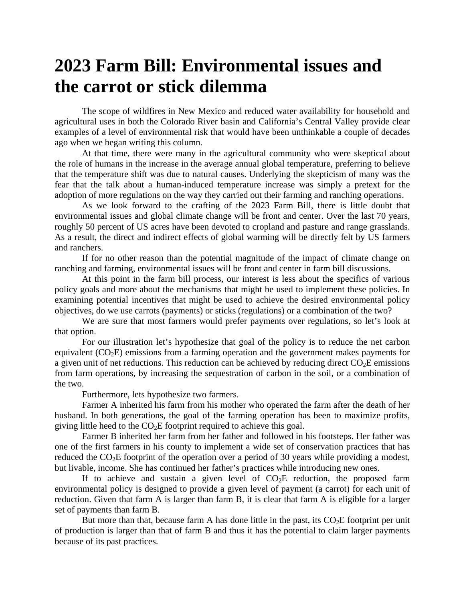## **2023 Farm Bill: Environmental issues and the carrot or stick dilemma**

The scope of wildfires in New Mexico and reduced water availability for household and agricultural uses in both the Colorado River basin and California's Central Valley provide clear examples of a level of environmental risk that would have been unthinkable a couple of decades ago when we began writing this column.

At that time, there were many in the agricultural community who were skeptical about the role of humans in the increase in the average annual global temperature, preferring to believe that the temperature shift was due to natural causes. Underlying the skepticism of many was the fear that the talk about a human-induced temperature increase was simply a pretext for the adoption of more regulations on the way they carried out their farming and ranching operations.

As we look forward to the crafting of the 2023 Farm Bill, there is little doubt that environmental issues and global climate change will be front and center. Over the last 70 years, roughly 50 percent of US acres have been devoted to cropland and pasture and range grasslands. As a result, the direct and indirect effects of global warming will be directly felt by US farmers and ranchers.

If for no other reason than the potential magnitude of the impact of climate change on ranching and farming, environmental issues will be front and center in farm bill discussions.

At this point in the farm bill process, our interest is less about the specifics of various policy goals and more about the mechanisms that might be used to implement these policies. In examining potential incentives that might be used to achieve the desired environmental policy objectives, do we use carrots (payments) or sticks (regulations) or a combination of the two?

We are sure that most farmers would prefer payments over regulations, so let's look at that option.

For our illustration let's hypothesize that goal of the policy is to reduce the net carbon equivalent  $(CO<sub>2</sub>E)$  emissions from a farming operation and the government makes payments for a given unit of net reductions. This reduction can be achieved by reducing direct  $CO<sub>2</sub>E$  emissions from farm operations, by increasing the sequestration of carbon in the soil, or a combination of the two.

Furthermore, lets hypothesize two farmers.

Farmer A inherited his farm from his mother who operated the farm after the death of her husband. In both generations, the goal of the farming operation has been to maximize profits, giving little heed to the  $CO<sub>2</sub>E$  footprint required to achieve this goal.

Farmer B inherited her farm from her father and followed in his footsteps. Her father was one of the first farmers in his county to implement a wide set of conservation practices that has reduced the  $CO<sub>2</sub>E$  footprint of the operation over a period of 30 years while providing a modest, but livable, income. She has continued her father's practices while introducing new ones.

If to achieve and sustain a given level of  $CO<sub>2</sub>E$  reduction, the proposed farm environmental policy is designed to provide a given level of payment (a carrot) for each unit of reduction. Given that farm A is larger than farm B, it is clear that farm A is eligible for a larger set of payments than farm B.

But more than that, because farm A has done little in the past, its  $CO<sub>2</sub>E$  footprint per unit of production is larger than that of farm B and thus it has the potential to claim larger payments because of its past practices.